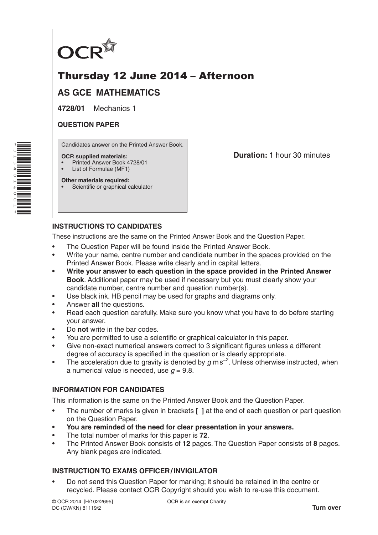

# Thursday 12 June 2014 – Afternoon

## **AS GCE MATHEMATICS**

**4728/01** Mechanics 1

#### **QUESTION PAPER**

Candidates answer on the Printed Answer Book.

#### **OCR supplied materials:**

- Printed Answer Book 4728/01
- List of Formulae (MF1)

**Other materials required:** Scientific or graphical calculator **Duration:** 1 hour 30 minutes

### **INSTRUCTIONS TO CANDIDATES**

These instructions are the same on the Printed Answer Book and the Question Paper.

- The Question Paper will be found inside the Printed Answer Book.
- Write your name, centre number and candidate number in the spaces provided on the Printed Answer Book. Please write clearly and in capital letters.
- **• Write your answer to each question in the space provided in the Printed Answer Book**. Additional paper may be used if necessary but you must clearly show your candidate number, centre number and question number(s).
- Use black ink. HB pencil may be used for graphs and diagrams only.
- Answer **all** the questions.
- Read each question carefully. Make sure you know what you have to do before starting your answer.
- Do **not** write in the bar codes.
- You are permitted to use a scientific or graphical calculator in this paper.
- Give non-exact numerical answers correct to 3 significant figures unless a different degree of accuracy is specified in the question or is clearly appropriate.
- The acceleration due to gravity is denoted by *g* ms−<sup>2</sup> . Unless otherwise instructed, when a numerical value is needed, use  $q = 9.8$ .

#### **INFORMATION FOR CANDIDATES**

This information is the same on the Printed Answer Book and the Question Paper.

- The number of marks is given in brackets **[ ]** at the end of each question or part question on the Question Paper.
- **• You are reminded of the need for clear presentation in your answers.**
- The total number of marks for this paper is **72**.
- The Printed Answer Book consists of **12** pages. The Question Paper consists of **8** pages. Any blank pages are indicated.

#### **INSTRUCTION TO EXAMS OFFICER/INVIGILATOR**

• Do not send this Question Paper for marking; it should be retained in the centre or recycled. Please contact OCR Copyright should you wish to re-use this document.

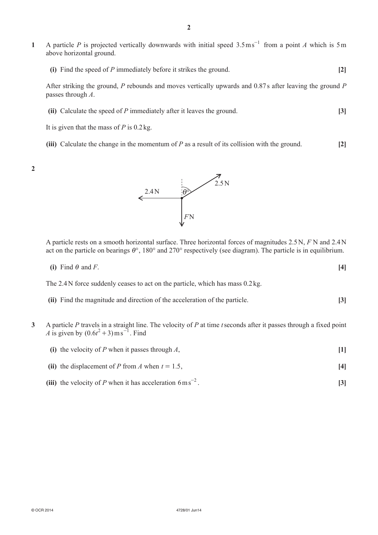- **1** A particle *P* is projected vertically downwards with initial speed  $3.5 \text{ ms}^{-1}$  from a point *A* which is 5m above horizontal ground.
	- **(i)** Find the speed of *P* immediately before it strikes the ground. **[2]**

After striking the ground, *P* rebounds and moves vertically upwards and 0.87s after leaving the ground *P* passes through *A*.

**(ii)** Calculate the speed of *P* immediately after it leaves the ground. **[3]** 

It is given that the mass of *P* is 0.2 kg.

**(iii)** Calculate the change in the momentum of *P* as a result of its collision with the ground.  $[2]$ 





A particle rests on a smooth horizontal surface. Three horizontal forces of magnitudes 2.5N, *F*N and 2.4N act on the particle on bearings  $\theta$ °, 180° and 270° respectively (see diagram). The particle is in equilibrium.

(i) Find 
$$
\theta
$$
 and  $F$ . [4]

The 2.4N force suddenly ceases to act on the particle, which has mass 0.2kg.

- **(ii)** Find the magnitude and direction of the acceleration of the particle. **[3]**
- **3**  A particle *P* travels in a straight line. The velocity of *P* at time *t*seconds after it passes through a fixed point *A* is given by  $(0.6t^2 + 3)$  ms<sup>-1</sup>. Find
	- **(i)** the velocity of *P* when it passes through *A*,  $[1]$
	- **(ii)** the displacement of *P* from *A* when  $t = 1.5$ , [4]
	- (iii) the velocity of *P* when it has acceleration  $6 \text{ m s}^{-2}$ . [3]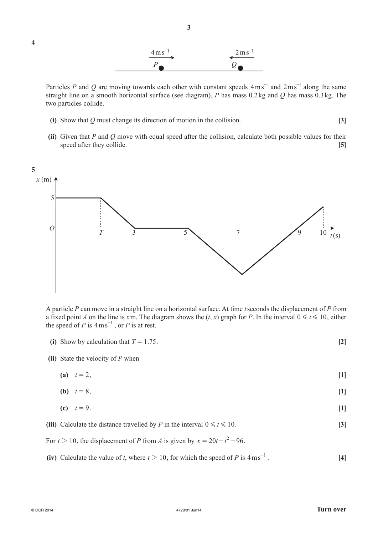

Particles P and Q are moving towards each other with constant speeds  $4 \text{ ms}^{-1}$  and  $2 \text{ ms}^{-1}$  along the same straight line on a smooth horizontal surface (see diagram). *P* has mass 0.2kg and *Q* has mass 0.3kg. The two particles collide.

- **(i)** Show that *Q* must change its direction of motion in the collision. **[3]**
- **(ii)** Given that *P* and *Q* move with equal speed after the collision, calculate both possible values for their speed after they collide. **[5]**



A particle *P* can move in a straight line on a horizontal surface. At time *t*seconds the displacement of *P* from a fixed point *A* on the line is *x*m. The diagram shows the  $(t, x)$  graph for *P*. In the interval  $0 \le t \le 10$ , either the speed of *P* is  $4 \text{ ms}^{-1}$ , or *P* is at rest.

- **(i)** Show by calculation that  $T = 1.75$ .  $\tag{2}$
- **(ii)** State the velocity of *P* when
- **(a)**  $t = 2$ , [1]
- **(b)**  $t = 8$ , **[1]**
- **(c)**  $t = 9$ . [1]
	- **(iii)** Calculate the distance travelled by *P* in the interval  $0 \le t \le 10$ . [3]
	- For  $t > 10$ , the displacement of *P* from *A* is given by  $x = 20t t^2 96$ .
	- **(iv)** Calculate the value of *t*, where  $t > 10$ , for which the speed of *P* is 4ms<sup>-1</sup>.  $\bar{s}^{-1}$  . [4]

**4**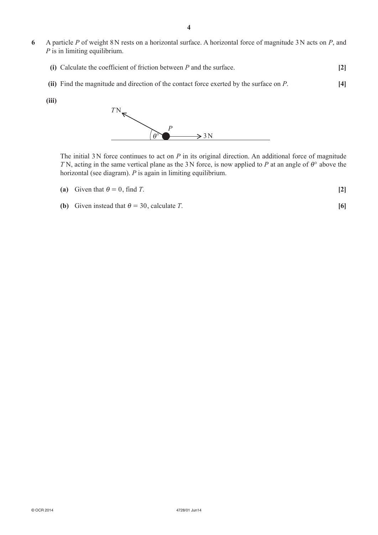- **6**  A particle *P* of weight 8N rests on a horizontal surface. A horizontal force of magnitude 3N acts on *P*, and *P* is in limiting equilibrium.
	- **(i)** Calculate the coefficient of friction between *P* and the surface. **[2]**
	- **(ii)** Find the magnitude and direction of the contact force exerted by the surface on *P*. [4]
	- **(iii)**



The initial 3N force continues to act on  $P$  in its original direction. An additional force of magnitude *T* N, acting in the same vertical plane as the 3N force, is now applied to *P* at an angle of  $\theta$ <sup>°</sup> above the horizontal (see diagram). *P* is again in limiting equilibrium.

- **(a)** Given that  $\theta = 0$ , find *T*. **[2]**
- **(b)** Given instead that  $\theta = 30$ , calculate *T*. **[6]**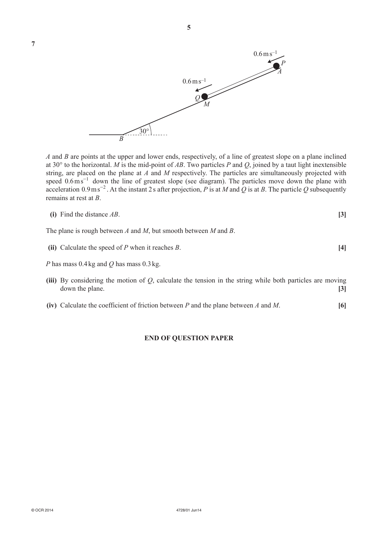

*A* and *B* are points at the upper and lower ends, respectively, of a line of greatest slope on a plane inclined at 30 $\degree$  to the horizontal. *M* is the mid-point of *AB*. Two particles *P* and *Q*, joined by a taut light inextensible string, are placed on the plane at *A* and *M* respectively. The particles are simultaneously projected with speed  $0.6 \text{ m s}^{-1}$  down the line of greatest slope (see diagram). The particles move down the plane with acceleration  $0.9 \text{ ms}^{-2}$ . At the instant 2s after projection, *P* is at *M* and *Q* is at *B*. The particle *Q* subsequently remains at rest at *B*.

| (i) Find the distance $AB$ .                                              |      |
|---------------------------------------------------------------------------|------|
| The plane is rough between $A$ and $M$ , but smooth between $M$ and $B$ . |      |
| (ii) Calculate the speed of $P$ when it reaches $B$ .                     | 14 I |
| <i>P</i> has mass 0.4 kg and $Q$ has mass 0.3 kg.                         |      |

- **(iii)** By considering the motion of  $Q$ , calculate the tension in the string while both particles are moving down the plane. **[3]**
- **(iv)** Calculate the coefficient of friction between *P* and the plane between *A* and *M*. **[6]**

#### **END OF QUESTION PAPER**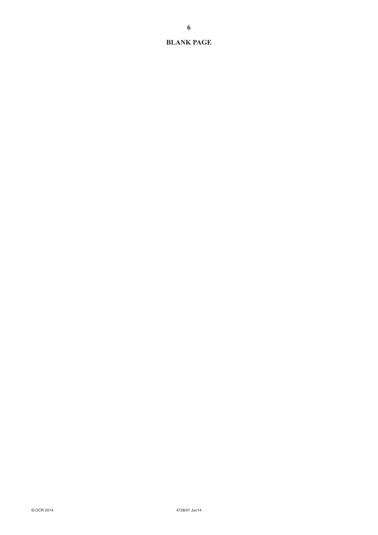#### **BLANK PAGE**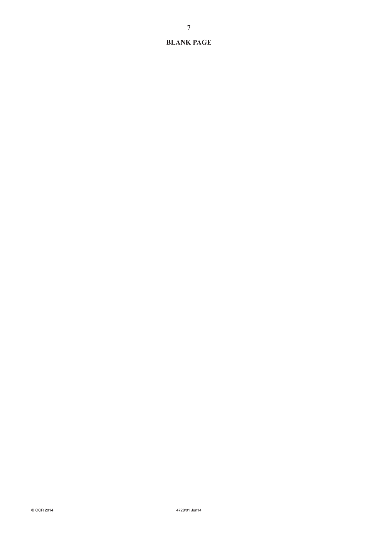#### **BLANK PAGE**